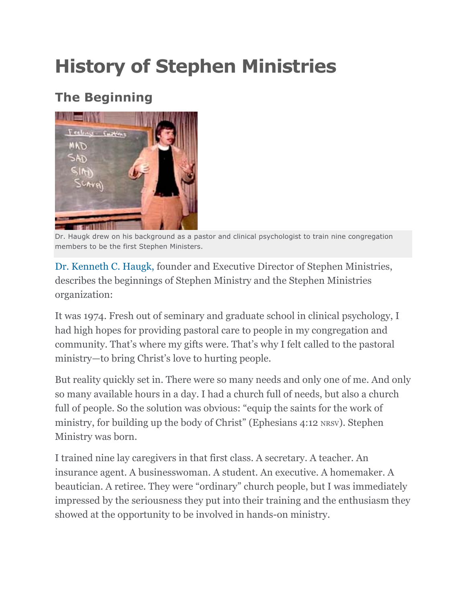# **History of Stephen Ministries**

## **The Beginning**



Dr. Haugk drew on his background as a pastor and clinical psychologist to train nine congregation members to be the first Stephen Ministers.

Dr. Kenneth C. Haugk, founder and Executive Director of Stephen Ministries, describes the beginnings of Stephen Ministry and the Stephen Ministries organization:

It was 1974. Fresh out of seminary and graduate school in clinical psychology, I had high hopes for providing pastoral care to people in my congregation and community. That's where my gifts were. That's why I felt called to the pastoral ministry—to bring Christ's love to hurting people.

But reality quickly set in. There were so many needs and only one of me. And only so many available hours in a day. I had a church full of needs, but also a church full of people. So the solution was obvious: "equip the saints for the work of ministry, for building up the body of Christ" (Ephesians 4:12 NRSV). Stephen Ministry was born.

I trained nine lay caregivers in that first class. A secretary. A teacher. An insurance agent. A businesswoman. A student. An executive. A homemaker. A beautician. A retiree. They were "ordinary" church people, but I was immediately impressed by the seriousness they put into their training and the enthusiasm they showed at the opportunity to be involved in hands-on ministry.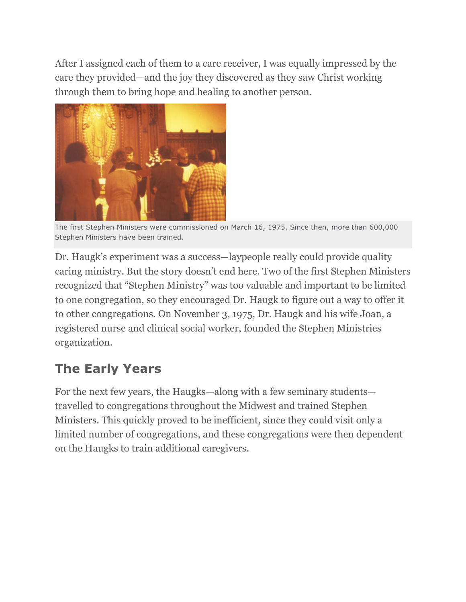After I assigned each of them to a care receiver, I was equally impressed by the care they provided—and the joy they discovered as they saw Christ working through them to bring hope and healing to another person.



The first Stephen Ministers were commissioned on March 16, 1975. Since then, more than 600,000 Stephen Ministers have been trained.

Dr. Haugk's experiment was a success—laypeople really could provide quality caring ministry. But the story doesn't end here. Two of the first Stephen Ministers recognized that "Stephen Ministry" was too valuable and important to be limited to one congregation, so they encouraged Dr. Haugk to figure out a way to offer it to other congregations. On November 3, 1975, Dr. Haugk and his wife Joan, a registered nurse and clinical social worker, founded the Stephen Ministries organization.

#### **The Early Years**

For the next few years, the Haugks—along with a few seminary students travelled to congregations throughout the Midwest and trained Stephen Ministers. This quickly proved to be inefficient, since they could visit only a limited number of congregations, and these congregations were then dependent on the Haugks to train additional caregivers.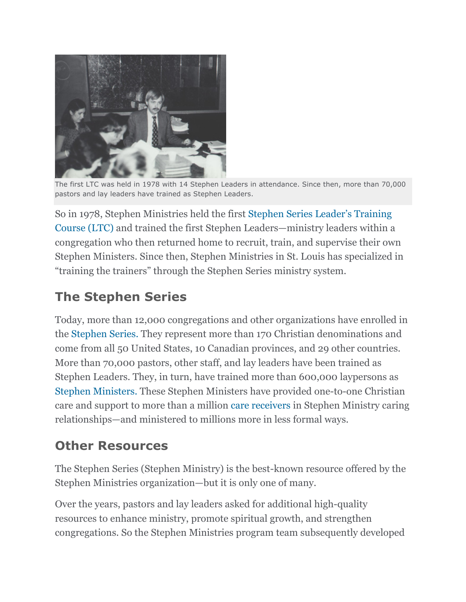

The first LTC was held in 1978 with 14 Stephen Leaders in attendance. Since then, more than 70,000 pastors and lay leaders have trained as Stephen Leaders.

So in 1978, Stephen Ministries held the first Stephen Series Leader's Training Course (LTC) and trained the first Stephen Leaders—ministry leaders within a congregation who then returned home to recruit, train, and supervise their own Stephen Ministers. Since then, Stephen Ministries in St. Louis has specialized in "training the trainers" through the Stephen Series ministry system.

## **The Stephen Series**

Today, more than 12,000 congregations and other organizations have enrolled in the Stephen Series. They represent more than 170 Christian denominations and come from all 50 United States, 10 Canadian provinces, and 29 other countries. More than 70,000 pastors, other staff, and lay leaders have been trained as Stephen Leaders. They, in turn, have trained more than 600,000 laypersons as Stephen Ministers. These Stephen Ministers have provided one-to-one Christian care and support to more than a million care receivers in Stephen Ministry caring relationships—and ministered to millions more in less formal ways.

## **Other Resources**

The Stephen Series (Stephen Ministry) is the best-known resource offered by the Stephen Ministries organization—but it is only one of many.

Over the years, pastors and lay leaders asked for additional high-quality resources to enhance ministry, promote spiritual growth, and strengthen congregations. So the Stephen Ministries program team subsequently developed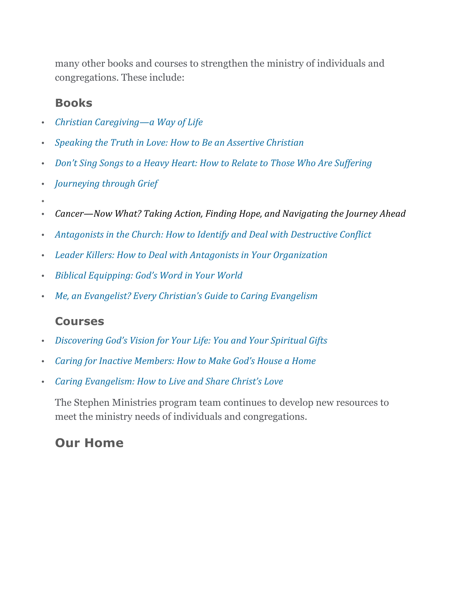many other books and courses to strengthen the ministry of individuals and congregations. These include:

#### **Books**

- *Christian Caregiving—a Way of Life*
- *Speaking the Truth in Love: How to Be an Assertive Christian*
- *Don't Sing Songs to a Heavy Heart: How to Relate to Those Who Are Suffering*
- *Journeying through Grief*
- •
- *Cancer—Now What? Taking Action, Finding Hope, and Navigating the Journey Ahead*
- Antagonists in the Church: How to Identify and Deal with Destructive Conflict
- Leader Killers: How to Deal with Antagonists in Your Organization
- Biblical Equipping: God's Word in Your World
- Me, an Evangelist? Every Christian's Guide to Caring Evangelism

#### **Courses**

- *Discovering God's Vision for Your Life: You and Your Spiritual Gifts*
- *Caring for Inactive Members: How to Make God's House a Home*
- *Caring Evangelism: How to Live and Share Christ's Love*

The Stephen Ministries program team continues to develop new resources to meet the ministry needs of individuals and congregations.

#### **Our Home**